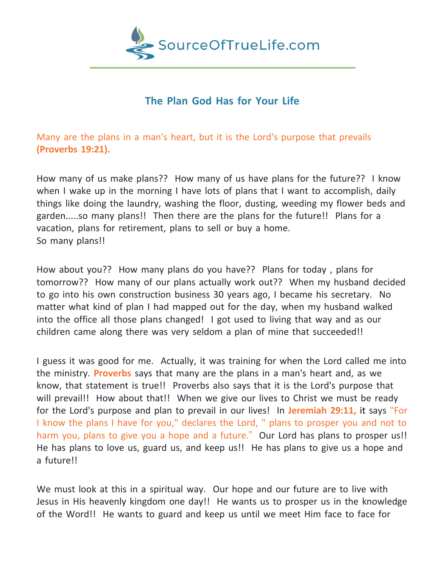

## **The Plan God Has for Your Life**

Many are the plans in a man's heart, but it is the Lord's purpose that prevails **(Proverbs 19:21).**

How many of us make plans?? How many of us have plans for the future?? I know when I wake up in the morning I have lots of plans that I want to accomplish, daily things like doing the laundry, washing the floor, dusting, weeding my flower beds and garden.....so many plans!! Then there are the plans for the future!! Plans for a vacation, plans for retirement, plans to sell or buy a home. So many plans!!

How about you?? How many plans do you have?? Plans for today , plans for tomorrow?? How many of our plans actually work out?? When my husband decided to go into his own construction business 30 years ago, I became his secretary. No matter what kind of plan I had mapped out for the day, when my husband walked into the office all those plans changed! I got used to living that way and as our children came along there was very seldom a plan of mine that succeeded!!

I guess it was good for me. Actually, it was training for when the Lord called me into the ministry. **Proverbs** says that many are the plans in a man's heart and, as we know, that statement is true!! Proverbs also says that it is the Lord's purpose that will prevail!! How about that!! When we give our lives to Christ we must be ready for the Lord's purpose and plan to prevail in our lives! In **Jeremiah 29:11,** it says "For I know the plans I have for you," declares the Lord, " plans to prosper you and not to harm you, plans to give you a hope and a future." Our Lord has plans to prosper us!! He has plans to love us, guard us, and keep us!! He has plans to give us a hope and a future!!

We must look at this in a spiritual way. Our hope and our future are to live with Jesus in His heavenly kingdom one day!! He wants us to prosper us in the knowledge of the Word!! He wants to guard and keep us until we meet Him face to face for